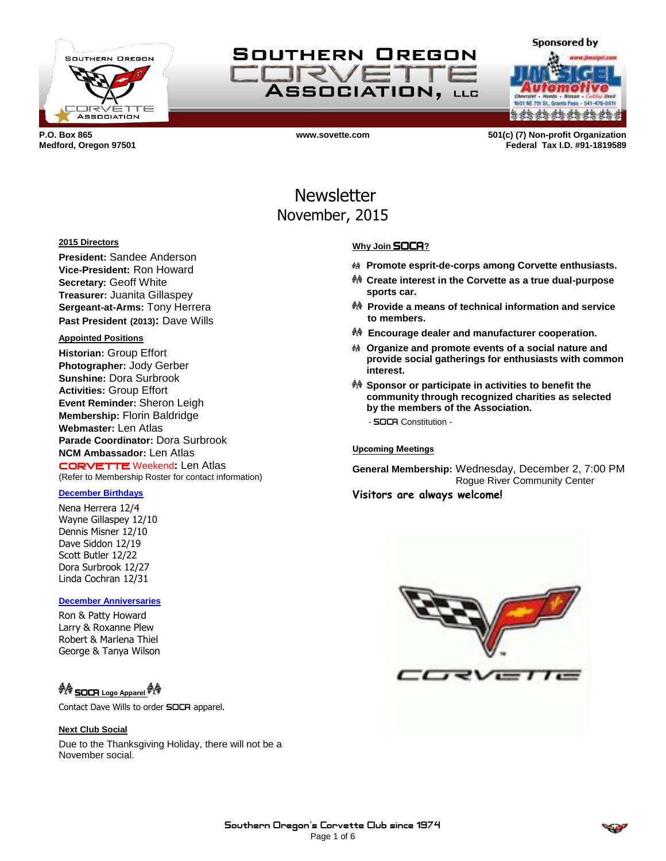



NE 7th St., Grants s da da da da da da d

**Sponsored by** 

**P.O. Box 865 www.sovette.com 501(c) (7) Non-profit Organization Medford, Oregon 97501 Federal Tax I.D. #91-1819589**

# **Newsletter** November, 2015

### **2015 Directors**

**President:** Sandee Anderson **Vice-President:** Ron Howard **Secretary:** Geoff White **Treasurer:** Juanita Gillaspey **Sergeant-at-Arms:** Tony Herrera **Past President (2013):** Dave Wills

#### **Appointed Positions**

**Historian:** Group Effort **Photographer:** Jody Gerber **Sunshine:** Dora Surbrook **Activities:** Group Effort **Event Reminder:** Sheron Leigh **Membership:** Florin Baldridge **Webmaster:** Len Atlas **Parade Coordinator:** Dora Surbrook **NCM Ambassador:** Len Atlas CORVETTE Weekend**:** Len Atlas (Refer to Membership Roster for contact information)

#### **December Birthdays**

Nena Herrera 12/4 Wayne Gillaspey 12/10 Dennis Misner 12/10 Dave Siddon 12/19 Scott Butler 12/22 Dora Surbrook 12/27 Linda Cochran 12/31

#### **December Anniversaries**

Ron & Patty Howard Larry & Roxanne Plew Robert & Marlena Thiel George & Tanya Wilson

# <sup>O</sup> SOCA Logo Apparel <sup>O</sup> A

Contact Dave Wills to order **SOCA** apparel.

#### **Next Club Social**

Due to the Thanksgiving Holiday, there will not be a November social.

### **Why Join** SOCA**?**

- **Promote esprit-de-corps among Corvette enthusiasts.**
- **Create interest in the Corvette as a true dual-purpose sports car.**
- **Provide a means of technical information and service to members.**
- **Encourage dealer and manufacturer cooperation.**
- **Organize and promote events of a social nature and provide social gatherings for enthusiasts with common interest.**
- **Sponsor or participate in activities to benefit the community through recognized charities as selected by the members of the Association.** - SOCA Constitution -

#### **Upcoming Meetings**

**General Membership:** Wednesday, December 2, 7:00 PM Rogue River Community Center **Visitors are always welcome!**



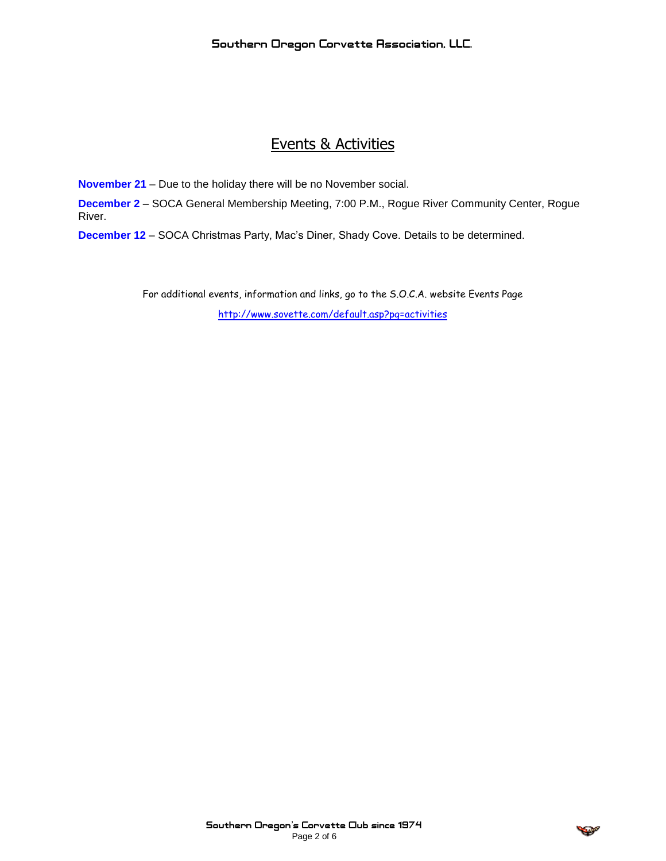# Events & Activities

**November 21** – Due to the holiday there will be no November social.

**December 2** – SOCA General Membership Meeting, 7:00 P.M., Rogue River Community Center, Rogue River.

**December 12** – SOCA Christmas Party, Mac's Diner, Shady Cove. Details to be determined.

For additional events, information and links, go to the S.O.C.A. website Events Page <http://www.sovette.com/default.asp?pg=activities>

$$
\mathcal{L}(\mathcal{L})
$$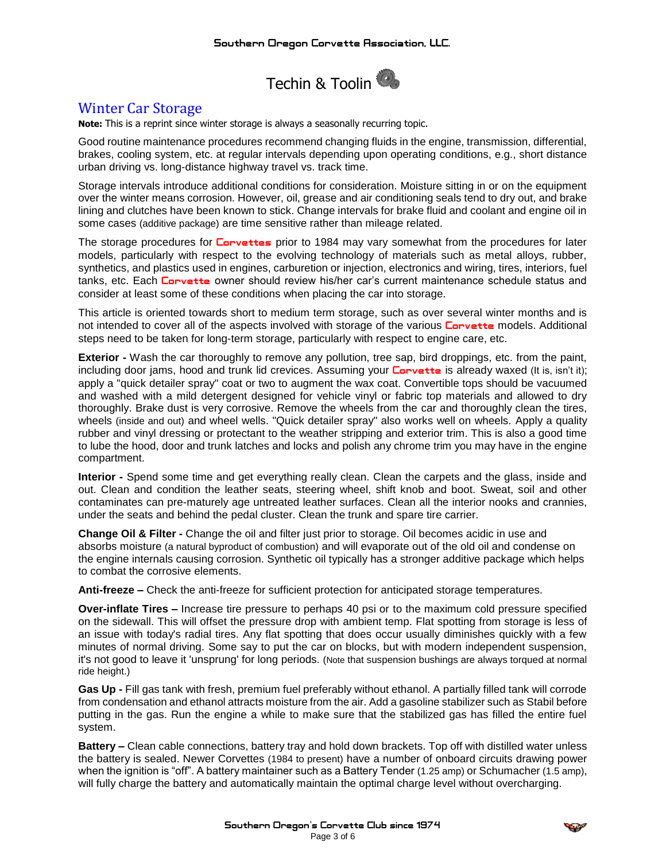

## Winter Car Storage

**Note:** This is a reprint since winter storage is always a seasonally recurring topic.

Good routine maintenance procedures recommend changing fluids in the engine, transmission, differential, brakes, cooling system, etc. at regular intervals depending upon operating conditions, e.g., short distance urban driving vs. long-distance highway travel vs. track time.

Storage intervals introduce additional conditions for consideration. Moisture sitting in or on the equipment over the winter means corrosion. However, oil, grease and air conditioning seals tend to dry out, and brake lining and clutches have been known to stick. Change intervals for brake fluid and coolant and engine oil in some cases (additive package) are time sensitive rather than mileage related.

The storage procedures for **Corvettes** prior to 1984 may vary somewhat from the procedures for later models, particularly with respect to the evolving technology of materials such as metal alloys, rubber, synthetics, and plastics used in engines, carburetion or injection, electronics and wiring, tires, interiors, fuel tanks, etc. Each Corvette owner should review his/her car's current maintenance schedule status and consider at least some of these conditions when placing the car into storage.

This article is oriented towards short to medium term storage, such as over several winter months and is not intended to cover all of the aspects involved with storage of the various **Corvette** models. Additional steps need to be taken for long-term storage, particularly with respect to engine care, etc.

**Exterior -** Wash the car thoroughly to remove any pollution, tree sap, bird droppings, etc. from the paint, including door jams, hood and trunk lid crevices. Assuming your **Corvette** is already waxed (It is, isn't it); apply a "quick detailer spray" coat or two to augment the wax coat. Convertible tops should be vacuumed and washed with a mild detergent designed for vehicle vinyl or fabric top materials and allowed to dry thoroughly. Brake dust is very corrosive. Remove the wheels from the car and thoroughly clean the tires, wheels (inside and out) and wheel wells. "Quick detailer spray" also works well on wheels. Apply a quality rubber and vinyl dressing or protectant to the weather stripping and exterior trim. This is also a good time to lube the hood, door and trunk latches and locks and polish any chrome trim you may have in the engine compartment.

**Interior -** Spend some time and get everything really clean. Clean the carpets and the glass, inside and out. Clean and condition the leather seats, steering wheel, shift knob and boot. Sweat, soil and other contaminates can pre-maturely age untreated leather surfaces. Clean all the interior nooks and crannies, under the seats and behind the pedal cluster. Clean the trunk and spare tire carrier.

**Change Oil & Filter -** Change the oil and filter just prior to storage. Oil becomes acidic in use and absorbs moisture (a natural byproduct of combustion) and will evaporate out of the old oil and condense on the engine internals causing corrosion. Synthetic oil typically has a stronger additive package which helps to combat the corrosive elements.

**Anti-freeze –** Check the anti-freeze for sufficient protection for anticipated storage temperatures.

**Over-inflate Tires –** Increase tire pressure to perhaps 40 psi or to the maximum cold pressure specified on the sidewall. This will offset the pressure drop with ambient temp. Flat spotting from storage is less of an issue with today's radial tires. Any flat spotting that does occur usually diminishes quickly with a few minutes of normal driving. Some say to put the car on blocks, but with modern independent suspension, it's not good to leave it 'unsprung' for long periods. (Note that suspension bushings are always torqued at normal ride height.)

**Gas Up -** Fill gas tank with fresh, premium fuel preferably without ethanol. A partially filled tank will corrode from condensation and ethanol attracts moisture from the air. Add a gasoline stabilizer such as Stabil before putting in the gas. Run the engine a while to make sure that the stabilized gas has filled the entire fuel system.

**Battery –** Clean cable connections, battery tray and hold down brackets. Top off with distilled water unless the battery is sealed. Newer Corvettes (1984 to present) have a number of onboard circuits drawing power when the ignition is "off". A battery maintainer such as a Battery Tender (1.25 amp) or Schumacher (1.5 amp), will fully charge the battery and automatically maintain the optimal charge level without overcharging.